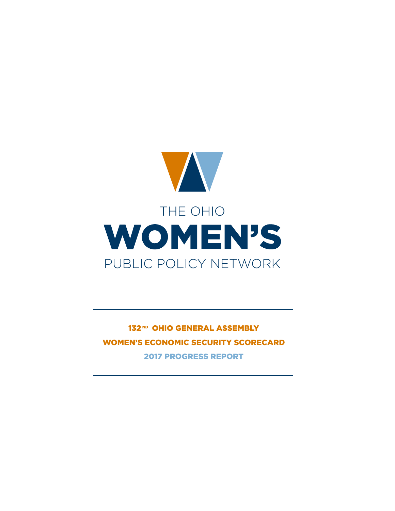

132ND OHIO GENERAL ASSEMBLY WOMEN'S ECONOMIC SECURITY SCORECARD 2017 PROGRESS REPORT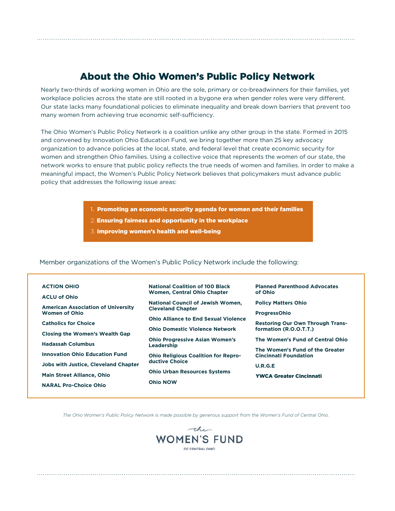# About the Ohio Women's Public Policy Network

Nearly two-thirds of working women in Ohio are the sole, primary or co-breadwinners for their families, yet workplace policies across the state are still rooted in a bygone era when gender roles were very different. Our state lacks many foundational policies to eliminate inequality and break down barriers that prevent too many women from achieving true economic self-sufficiency.

The Ohio Women's Public Policy Network is a coalition unlike any other group in the state. Formed in 2015 and convened by Innovation Ohio Education Fund, we bring together more than 25 key advocacy organization to advance policies at the local, state, and federal level that create economic security for women and strengthen Ohio families. Using a collective voice that represents the women of our state, the network works to ensure that public policy reflects the true needs of women and families. In order to make a meaningful impact, the Women's Public Policy Network believes that policymakers must advance public policy that addresses the following issue areas:

- 1. Promoting an economic security agenda for women and their families
- 2. Ensuring fairness and opportunity in the workplace
- 3. Improving women's health and well-being

#### Member organizations of the Women's Public Policy Network include the following:

| <b>ACTION OHIO</b>                          | <b>National Coalition of 100 Black</b>                       | <b>Planned Parenthood Advocates</b>                             |
|---------------------------------------------|--------------------------------------------------------------|-----------------------------------------------------------------|
| <b>ACLU of Ohio</b>                         | <b>Women, Central Ohio Chapter</b>                           | of Ohio                                                         |
| <b>American Association of University</b>   | <b>National Council of Jewish Women.</b>                     | <b>Policy Matters Ohio</b>                                      |
| Women of Ohio                               | <b>Cleveland Chapter</b>                                     | <b>ProgressOhio</b>                                             |
| <b>Catholics for Choice</b>                 | <b>Ohio Alliance to End Sexual Violence</b>                  | <b>Restoring Our Own Through Trans-</b>                         |
|                                             | <b>Ohio Domestic Violence Network</b>                        | formation (R.O.O.T.T.)                                          |
| <b>Closing the Women's Wealth Gap</b>       | <b>Ohio Progressive Asian Women's</b>                        | The Women's Fund of Central Ohio                                |
| <b>Hadassah Columbus</b>                    | Leadership                                                   |                                                                 |
| <b>Innovation Ohio Education Fund</b>       |                                                              | The Women's Fund of the Greater<br><b>Cincinnati Foundation</b> |
|                                             | <b>Ohio Religious Coalition for Repro-</b><br>ductive Choice |                                                                 |
| <b>Jobs with Justice, Cleveland Chapter</b> |                                                              | U.R.G.E                                                         |
| <b>Main Street Alliance, Ohio</b>           | <b>Ohio Urban Resources Systems</b>                          | <b>YWCA Greater Cincinnati</b>                                  |
| <b>NARAL Pro-Choice Ohio</b>                | <b>Ohio NOW</b>                                              |                                                                 |
|                                             |                                                              |                                                                 |

*The Ohio Women's Public Policy Network is made possible by generous support from the Women's Fund of Central Ohio.*

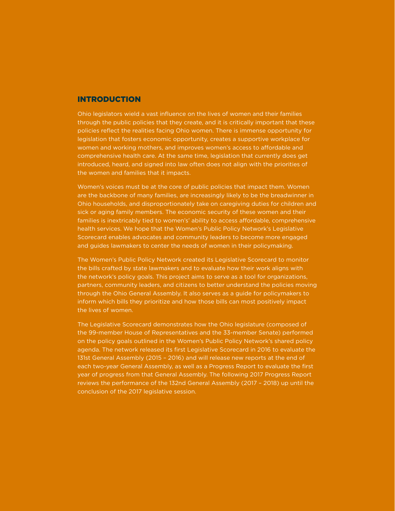#### INTRODUCTION

Ohio legislators wield a vast influence on the lives of women and their families through the public policies that they create, and it is critically important that these policies reflect the realities facing Ohio women. There is immense opportunity for legislation that fosters economic opportunity, creates a supportive workplace for women and working mothers, and improves women's access to affordable and comprehensive health care. At the same time, legislation that currently does get introduced, heard, and signed into law often does not align with the priorities of the women and families that it impacts.

Women's voices must be at the core of public policies that impact them. Women are the backbone of many families, are increasingly likely to be the breadwinner in Ohio households, and disproportionately take on caregiving duties for children and sick or aging family members. The economic security of these women and their families is inextricably tied to women's' ability to access affordable, comprehensive health services. We hope that the Women's Public Policy Network's Legislative Scorecard enables advocates and community leaders to become more engaged and guides lawmakers to center the needs of women in their policymaking.

The Women's Public Policy Network created its Legislative Scorecard to monitor the bills crafted by state lawmakers and to evaluate how their work aligns with the network's policy goals. This project aims to serve as a tool for organizations, partners, community leaders, and citizens to better understand the policies moving through the Ohio General Assembly. It also serves as a guide for policymakers to inform which bills they prioritize and how those bills can most positively impact the lives of women.

The Legislative Scorecard demonstrates how the Ohio legislature (composed of the 99-member House of Representatives and the 33-member Senate) performed on the policy goals outlined in the Women's Public Policy Network's shared policy agenda. The network released its first Legislative Scorecard in 2016 to evaluate the 131st General Assembly (2015 – 2016) and will release new reports at the end of each two-year General Assembly, as well as a Progress Report to evaluate the first year of progress from that General Assembly. The following 2017 Progress Report reviews the performance of the 132nd General Assembly (2017 – 2018) up until the conclusion of the 2017 legislative session.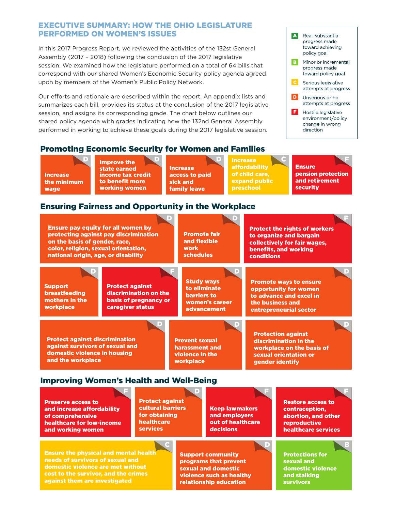### EXECUTIVE SUMMARY: HOW THE OHIO LEGISLATURE PERFORMED ON WOMEN'S ISSUES

correspond with our shared Women's Economic Security policy agenda agreed toward policy goal In this 2017 Progress Report, we reviewed the activities of the 132st General Assembly (2017 – 2018) following the conclusion of the 2017 legislative session. We examined how the legislature performed on a total of 64 bills that upon by members of the Women's Public Policy Network.

shared policy agenda with grades indicating how the 132nd General Assembly summarizes each bill, provides its status at the conclusion of the 2017 legislative  $\begin{bmatrix} \bullet & \bullet & \bullet \end{bmatrix}$ session, and assigns its corresponding grade. The chart below outlines our  $\begin{array}{|c|c|} \hline \end{array}$ performed in working to achieve these goals during the 2017 legislative session.  $\qquad \qquad \qquad \qquad \text{direction}$ Our efforts and rationale are described within the report. An appendix lists and



# Promoting Economic Security for Women and Families

Increase the minimum wage

Improve the state earned income tax credit to benefit more working women

Increase access to paid sick and family leave

Increase affordability of child care, expand public preschool

**Ensure** pension protection and retirement security D D D C F

# Ensuring Fairness and Opportunity in the Workplace



| <b>Preserve access to</b><br>and increase affordability<br>of comprehensive<br>healthcare for low-income<br>and working women                                                                  | <b>Protect against</b><br>cultural barriers<br>for obtaining<br>healthcare<br><b>services</b> | <b>Keep lawmakers</b><br>and employers<br>out of healthcare<br>decisions                                                              | <b>Restore access to</b><br>contraception.<br>abortion, and other<br>reproductive<br>healthcare services |
|------------------------------------------------------------------------------------------------------------------------------------------------------------------------------------------------|-----------------------------------------------------------------------------------------------|---------------------------------------------------------------------------------------------------------------------------------------|----------------------------------------------------------------------------------------------------------|
| <b>Ensure the physical and mental health</b><br>needs of survivors of sexual and<br>domestic violence are met without<br>cost to the survivor, and the crimes<br>against them are investigated |                                                                                               | l D<br><b>Support community</b><br>programs that prevent<br>sexual and domestic<br>violence such as healthy<br>relationship education | B<br><b>Protections for</b><br>sexual and<br>domestic violence<br>and stalking<br><b>survivors</b>       |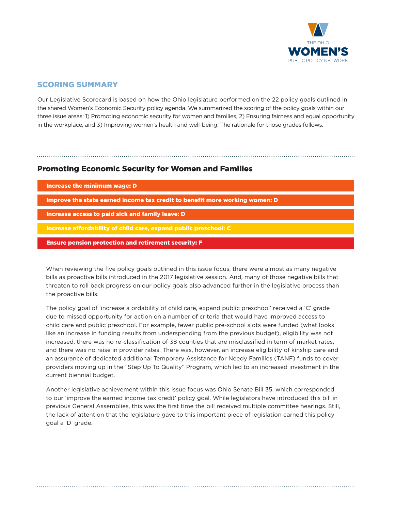

# SCORING SUMMARY

Our Legislative Scorecard is based on how the Ohio legislature performed on the 22 policy goals outlined in the shared Women's Economic Security policy agenda. We summarized the scoring of the policy goals within our three issue areas: 1) Promoting economic security for women and families, 2) Ensuring fairness and equal opportunity in the workplace, and 3) Improving women's health and well-being. The rationale for those grades follows.

## Promoting Economic Security for Women and Families

| Increase the minimum wage: D                                                |  |
|-----------------------------------------------------------------------------|--|
| Improve the state earned income tax credit to benefit more working women: D |  |
| Increase access to paid sick and family leave: D                            |  |
| Increase affordability of child care, expand public preschool: C            |  |
| <b>Ensure pension protection and retirement security: F</b>                 |  |

When reviewing the five policy goals outlined in this issue focus, there were almost as many negative bills as proactive bills introduced in the 2017 legislative session. And, many of those negative bills that threaten to roll back progress on our policy goals also advanced further in the legislative process than the proactive bills.

The policy goal of 'increase a ordability of child care, expand public preschool' received a 'C' grade due to missed opportunity for action on a number of criteria that would have improved access to child care and public preschool. For example, fewer public pre-school slots were funded (what looks like an increase in funding results from underspending from the previous budget), eligibility was not increased, there was no re-classification of 38 counties that are misclassified in term of market rates, and there was no raise in provider rates. There was, however, an increase eligibility of kinship care and an assurance of dedicated additional Temporary Assistance for Needy Families (TANF) funds to cover providers moving up in the "Step Up To Quality" Program, which led to an increased investment in the current biennial budget.

Another legislative achievement within this issue focus was Ohio Senate Bill 35, which corresponded to our 'improve the earned income tax credit' policy goal. While legislators have introduced this bill in previous General Assemblies, this was the first time the bill received multiple committee hearings. Still, the lack of attention that the legislature gave to this important piece of legislation earned this policy goal a 'D' grade.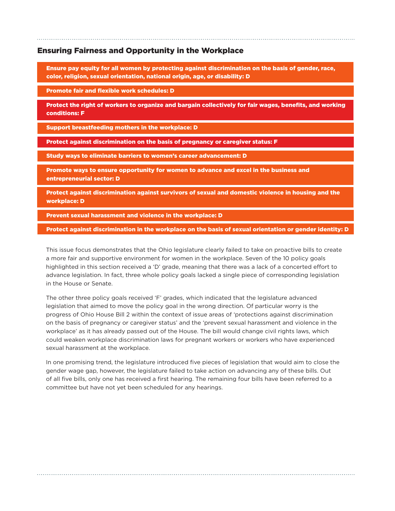### Ensuring Fairness and Opportunity in the Workplace

Ensure pay equity for all women by protecting against discrimination on the basis of gender, race, color, religion, sexual orientation, national origin, age, or disability: D

Promote fair and flexible work schedules: D

Protect the right of workers to organize and bargain collectively for fair wages, benefits, and working conditions: F

Support breastfeeding mothers in the workplace: D

Protect against discrimination on the basis of pregnancy or caregiver status: F

Study ways to eliminate barriers to women's career advancement: D

Promote ways to ensure opportunity for women to advance and excel in the business and entrepreneurial sector: D

Protect against discrimination against survivors of sexual and domestic violence in housing and the workplace: D

Prevent sexual harassment and violence in the workplace: D

Protect against discrimination in the workplace on the basis of sexual orientation or gender identity: D

This issue focus demonstrates that the Ohio legislature clearly failed to take on proactive bills to create a more fair and supportive environment for women in the workplace. Seven of the 10 policy goals highlighted in this section received a 'D' grade, meaning that there was a lack of a concerted effort to advance legislation. In fact, three whole policy goals lacked a single piece of corresponding legislation in the House or Senate.

The other three policy goals received 'F' grades, which indicated that the legislature advanced legislation that aimed to move the policy goal in the wrong direction. Of particular worry is the progress of Ohio House Bill 2 within the context of issue areas of 'protections against discrimination on the basis of pregnancy or caregiver status' and the 'prevent sexual harassment and violence in the workplace' as it has already passed out of the House. The bill would change civil rights laws, which could weaken workplace discrimination laws for pregnant workers or workers who have experienced sexual harassment at the workplace.

In one promising trend, the legislature introduced five pieces of legislation that would aim to close the gender wage gap, however, the legislature failed to take action on advancing any of these bills. Out of all five bills, only one has received a first hearing. The remaining four bills have been referred to a committee but have not yet been scheduled for any hearings.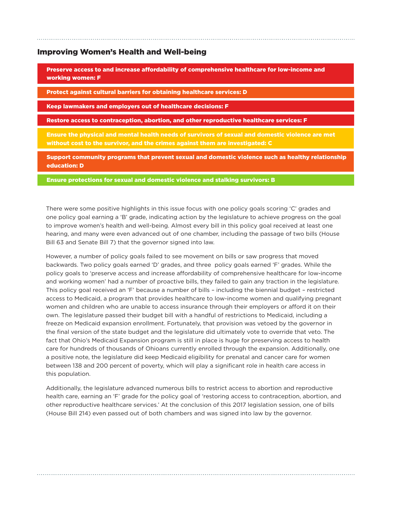#### Improving Women's Health and Well-being

Preserve access to and increase affordability of comprehensive healthcare for low-income and working women: F

Protect against cultural barriers for obtaining healthcare services: D

Keep lawmakers and employers out of healthcare decisions: F

Restore access to contraception, abortion, and other reproductive healthcare services: F

Ensure the physical and mental health needs of survivors of sexual and domestic violence are met without cost to the survivor, and the crimes against them are investigated: C

Support community programs that prevent sexual and domestic violence such as healthy relationship education: D

Ensure protections for sexual and domestic violence and stalking survivors: B

There were some positive highlights in this issue focus with one policy goals scoring 'C' grades and one policy goal earning a 'B' grade, indicating action by the legislature to achieve progress on the goal to improve women's health and well-being. Almost every bill in this policy goal received at least one hearing, and many were even advanced out of one chamber, including the passage of two bills (House Bill 63 and Senate Bill 7) that the governor signed into law.

However, a number of policy goals failed to see movement on bills or saw progress that moved backwards. Two policy goals earned 'D' grades, and three policy goals earned 'F' grades. While the policy goals to 'preserve access and increase affordability of comprehensive healthcare for low-income and working women' had a number of proactive bills, they failed to gain any traction in the legislature. This policy goal received an 'F' because a number of bills – including the biennial budget – restricted access to Medicaid, a program that provides healthcare to low-income women and qualifying pregnant women and children who are unable to access insurance through their employers or afford it on their own. The legislature passed their budget bill with a handful of restrictions to Medicaid, including a freeze on Medicaid expansion enrollment. Fortunately, that provision was vetoed by the governor in the final version of the state budget and the legislature did ultimately vote to override that veto. The fact that Ohio's Medicaid Expansion program is still in place is huge for preserving access to health care for hundreds of thousands of Ohioans currently enrolled through the expansion. Additionally, one a positive note, the legislature did keep Medicaid eligibility for prenatal and cancer care for women between 138 and 200 percent of poverty, which will play a significant role in health care access in this population.

Additionally, the legislature advanced numerous bills to restrict access to abortion and reproductive health care, earning an 'F' grade for the policy goal of 'restoring access to contraception, abortion, and other reproductive healthcare services.' At the conclusion of this 2017 legislation session, one of bills (House Bill 214) even passed out of both chambers and was signed into law by the governor.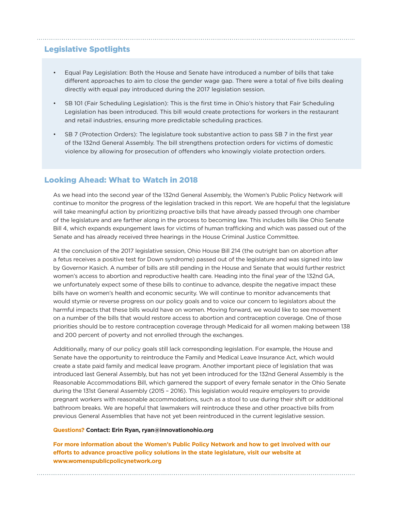# Legislative Spotlights

- Equal Pay Legislation: Both the House and Senate have introduced a number of bills that take different approaches to aim to close the gender wage gap. There were a total of five bills dealing directly with equal pay introduced during the 2017 legislation session.
- SB 101 (Fair Scheduling Legislation): This is the first time in Ohio's history that Fair Scheduling Legislation has been introduced. This bill would create protections for workers in the restaurant and retail industries, ensuring more predictable scheduling practices.
- SB 7 (Protection Orders): The legislature took substantive action to pass SB 7 in the first year of the 132nd General Assembly. The bill strengthens protection orders for victims of domestic violence by allowing for prosecution of offenders who knowingly violate protection orders.

### Looking Ahead: What to Watch in 2018

As we head into the second year of the 132nd General Assembly, the Women's Public Policy Network will continue to monitor the progress of the legislation tracked in this report. We are hopeful that the legislature will take meaningful action by prioritizing proactive bills that have already passed through one chamber of the legislature and are farther along in the process to becoming law. This includes bills like Ohio Senate Bill 4, which expands expungement laws for victims of human trafficking and which was passed out of the Senate and has already received three hearings in the House Criminal Justice Committee.

At the conclusion of the 2017 legislative session, Ohio House Bill 214 (the outright ban on abortion after a fetus receives a positive test for Down syndrome) passed out of the legislature and was signed into law by Governor Kasich. A number of bills are still pending in the House and Senate that would further restrict women's access to abortion and reproductive health care. Heading into the final year of the 132nd GA, we unfortunately expect some of these bills to continue to advance, despite the negative impact these bills have on women's health and economic security. We will continue to monitor advancements that would stymie or reverse progress on our policy goals and to voice our concern to legislators about the harmful impacts that these bills would have on women. Moving forward, we would like to see movement on a number of the bills that would restore access to abortion and contraception coverage. One of those priorities should be to restore contraception coverage through Medicaid for all women making between 138 and 200 percent of poverty and not enrolled through the exchanges.

Additionally, many of our policy goals still lack corresponding legislation. For example, the House and Senate have the opportunity to reintroduce the Family and Medical Leave Insurance Act, which would create a state paid family and medical leave program. Another important piece of legislation that was introduced last General Assembly, but has not yet been introduced for the 132nd General Assembly is the Reasonable Accommodations Bill, which garnered the support of every female senator in the Ohio Senate during the 131st General Assembly (2015 – 2016). This legislation would require employers to provide pregnant workers with reasonable accommodations, such as a stool to use during their shift or additional bathroom breaks. We are hopeful that lawmakers will reintroduce these and other proactive bills from previous General Assemblies that have not yet been reintroduced in the current legislative session.

#### **Questions? Contact: Erin Ryan, ryan@innovationohio.org**

**For more information about the Women's Public Policy Network and how to get involved with our efforts to advance proactive policy solutions in the state legislature, visit our website at www.womenspublicpolicynetwork.org**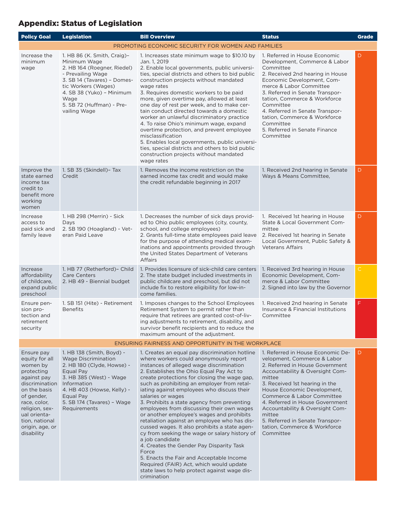# Appendix: Status of Legislation

| <b>Policy Goal</b>                                                                                                                                                                                                         | <b>Legislation</b>                                                                                                                                                                                                                      | <b>Bill Overview</b>                                                                                                                                                                                                                                                                                                                                                                                                                                                                                                                                                                                                                                                                                                                                                                                                                                                        | <b>Status</b>                                                                                                                                                                                                                                                                                                                                                                                                   | <b>Grade</b> |  |
|----------------------------------------------------------------------------------------------------------------------------------------------------------------------------------------------------------------------------|-----------------------------------------------------------------------------------------------------------------------------------------------------------------------------------------------------------------------------------------|-----------------------------------------------------------------------------------------------------------------------------------------------------------------------------------------------------------------------------------------------------------------------------------------------------------------------------------------------------------------------------------------------------------------------------------------------------------------------------------------------------------------------------------------------------------------------------------------------------------------------------------------------------------------------------------------------------------------------------------------------------------------------------------------------------------------------------------------------------------------------------|-----------------------------------------------------------------------------------------------------------------------------------------------------------------------------------------------------------------------------------------------------------------------------------------------------------------------------------------------------------------------------------------------------------------|--------------|--|
|                                                                                                                                                                                                                            |                                                                                                                                                                                                                                         | PROMOTING ECONOMIC SECURITY FOR WOMEN AND FAMILIES                                                                                                                                                                                                                                                                                                                                                                                                                                                                                                                                                                                                                                                                                                                                                                                                                          |                                                                                                                                                                                                                                                                                                                                                                                                                 |              |  |
| Increase the<br>minimum<br>wage                                                                                                                                                                                            | 1. HB 86 (K. Smith, Craig)-<br>Minimum Wage<br>2. HB 164 (Roegner, Riedel)<br>- Prevailing Wage<br>3. SB 14 (Tavares) - Domes-<br>tic Workers (Wages)<br>4. SB 38 (Yuko) - Minimum<br>Wage<br>5. SB 72 (Huffman) - Pre-<br>vailing Wage | 1. Increases state minimum wage to \$10.10 by<br>Jan. 1, 2019<br>2. Enable local governments, public universi-<br>ties, special districts and others to bid public<br>construction projects without mandated<br>wage rates<br>3. Requires domestic workers to be paid<br>more, given overtime pay, allowed at least<br>one day of rest per week, and to make cer-<br>tain conduct directed towards a domestic<br>worker an unlawful discriminatory practice<br>4. To raise Ohio's minimum wage, expand<br>overtime protection, and prevent employee<br>misclassification<br>5. Enables local governments, public universi-<br>ties, special districts and others to bid public<br>construction projects without mandated<br>wage rates                                                                                                                                      | 1. Referred in House Economic<br>Development, Commerce & Labor<br>Committee<br>2. Received 2nd hearing in House<br>Economic Development, Com-<br>merce & Labor Committee<br>3. Referred in Senate Transpor-<br>tation, Commerce & Workforce<br>Committee<br>4. Referred in Senate Transpor-<br>tation, Commerce & Workforce<br>Committee<br>5. Referred in Senate Finance<br>Committee                          | D            |  |
| Improve the<br>state earned<br>income tax<br>credit to<br>benefit more<br>working<br>women                                                                                                                                 | 1. SB 35 (Skindell)- Tax<br>Credit                                                                                                                                                                                                      | 1. Removes the income restriction on the<br>earned income tax credit and would make<br>the credit refundable beginning in 2017                                                                                                                                                                                                                                                                                                                                                                                                                                                                                                                                                                                                                                                                                                                                              | 1. Received 2nd hearing in Senate<br>Ways & Means Committee,                                                                                                                                                                                                                                                                                                                                                    | D            |  |
| Increase<br>access to<br>paid sick and<br>family leave                                                                                                                                                                     | 1. HB 298 (Merrin) - Sick<br>Days<br>2. SB 190 (Hoagland) - Vet-<br>eran Paid Leave                                                                                                                                                     | 1. Decreases the number of sick days provid-<br>ed to Ohio public employees (city, county,<br>school, and college employees)<br>2. Grants full-time state employees paid leave<br>for the purpose of attending medical exam-<br>inations and appointments provided through<br>the United States Department of Veterans<br>Affairs                                                                                                                                                                                                                                                                                                                                                                                                                                                                                                                                           | 1. Received 1st hearing in House<br>State & Local Government Com-<br>mittee<br>2. Received 1st hearing in Senate<br>Local Government, Public Safety &<br><b>Veterans Affairs</b>                                                                                                                                                                                                                                | D            |  |
| Increase<br>affordability<br>of childcare.<br>expand public<br>preschool                                                                                                                                                   | 1. HB 77 (Retherford)- Child<br><b>Care Centers</b><br>2. HB 49 - Biennial budget                                                                                                                                                       | 1. Provides licensure of sick-child care centers<br>2. The state budget included investments in<br>public childcare and preschool, but did not<br>include fix to restore eligibility for low-in-<br>come families.                                                                                                                                                                                                                                                                                                                                                                                                                                                                                                                                                                                                                                                          | 1. Received 3rd hearing in House<br>Economic Development, Com-<br>merce & Labor Committee<br>2. Signed into law by the Governor                                                                                                                                                                                                                                                                                 | $\mathsf C$  |  |
| Ensure pen-<br>sion pro-<br>tection and<br>retirement<br>security                                                                                                                                                          | 1. SB 151 (Hite) - Retirement<br><b>Benefits</b>                                                                                                                                                                                        | 1. Imposes changes to the School Employees<br>Retirement System to permit rather than<br>require that retirees are granted cost-of-liv-<br>ing adjustments to retirement, disability, and<br>survivor benefit recipients and to reduce the<br>maximum amount of the adjustment.                                                                                                                                                                                                                                                                                                                                                                                                                                                                                                                                                                                             | 1. Received 2nd hearing in Senate<br>Insurance & Financial Institutions<br>Committee                                                                                                                                                                                                                                                                                                                            | F            |  |
| <b>ENSURING FAIRNESS AND OPPORTUNITY IN THE WORKPLACE</b>                                                                                                                                                                  |                                                                                                                                                                                                                                         |                                                                                                                                                                                                                                                                                                                                                                                                                                                                                                                                                                                                                                                                                                                                                                                                                                                                             |                                                                                                                                                                                                                                                                                                                                                                                                                 |              |  |
| Ensure pay<br>equity for all<br>women by<br>protecting<br>against pay<br>discrimination<br>on the basis<br>of gender,<br>race, color,<br>religion, sex-<br>ual orienta-<br>tion, national<br>origin, age, or<br>disability | 1. HB 138 (Smith, Boyd) -<br>Wage Discrimination<br>2. HB 180 (Clyde, Howse) -<br>Equal Pay<br>3. HB 385 (West) - Wage<br>Information<br>4. HB 403 (Howse, Kelly) -<br>Equal Pay<br>5. SB 174 (Tavares) - Wage<br>Requirements          | 1. Creates an equal pay discrimination hotline<br>where workers could anonymously report<br>instances of alleged wage discrimination<br>2. Establishes the Ohio Equal Pay Act to<br>create protections for closing the wage gap.<br>such as prohibiting an employer from retal-<br>iating against employees who discuss their<br>salaries or wages<br>3. Prohibits a state agency from preventing<br>employees from discussing their own wages<br>or another employee's wages and prohibits<br>retaliation against an employee who has dis-<br>cussed wages. It also prohibits a state agen-<br>cy from seeking the wage or salary history of<br>a job candidate<br>4. Creates the Gender Pay Disparity Task<br>Force<br>5. Enacts the Fair and Acceptable Income<br>Required (FAIR) Act, which would update<br>state laws to help protect against wage dis-<br>crimination | 1. Referred in House Economic De-<br>velopment, Commerce & Labor<br>2. Referred in House Government<br>Accountability & Oversight Com-<br>mittee<br>3. Received 1st hearing in the<br>House Economic Development,<br>Commerce & Labor Committee<br>4. Referred in House Government<br>Accountability & Oversight Com-<br>mittee<br>5. Referred in Senate Transpor-<br>tation, Commerce & Workforce<br>Committee | D            |  |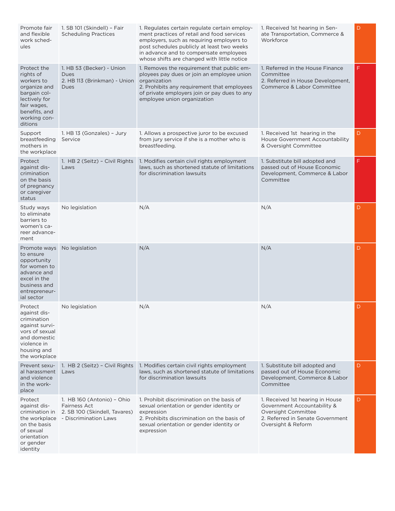| Promote fair<br>and flexible<br>work sched-<br>ules                                                                                                | 1. SB 101 (Skindell) - Fair<br><b>Scheduling Practices</b>                                           | 1. Regulates certain regulate certain employ-<br>ment practices of retail and food services<br>employers, such as requiring employers to<br>post schedules publicly at least two weeks<br>in advance and to compensate employees<br>whose shifts are changed with little notice | 1. Received 1st hearing in Sen-<br>ate Transportation, Commerce &<br>Workforce                                                                   | D |
|----------------------------------------------------------------------------------------------------------------------------------------------------|------------------------------------------------------------------------------------------------------|---------------------------------------------------------------------------------------------------------------------------------------------------------------------------------------------------------------------------------------------------------------------------------|--------------------------------------------------------------------------------------------------------------------------------------------------|---|
| Protect the<br>rights of<br>workers to<br>organize and<br>bargain col-<br>lectively for<br>fair wages,<br>benefits, and<br>working con-<br>ditions | 1. HB 53 (Becker) - Union<br>Dues<br>2. HB 113 (Brinkman) - Union<br><b>Dues</b>                     | 1. Removes the requirement that public em-<br>ployees pay dues or join an employee union<br>organization<br>2. Prohibits any requirement that employees<br>of private employers join or pay dues to any<br>employee union organization                                          | 1. Referred in the House Finance<br>Committee<br>2. Referred in House Development,<br>Commerce & Labor Committee                                 | F |
| Support<br>breastfeeding<br>mothers in<br>the workplace                                                                                            | 1. HB 13 (Gonzales) - Jury<br>Service                                                                | 1. Allows a prospective juror to be excused<br>from jury service if she is a mother who is<br>breastfeeding.                                                                                                                                                                    | 1. Received 1st hearing in the<br>House Government Accountability<br>& Oversight Committee                                                       | D |
| Protect<br>against dis-<br>crimination<br>on the basis<br>of pregnancy<br>or caregiver<br>status                                                   | 1. HB 2 (Seitz) - Civil Rights<br>Laws                                                               | 1. Modifies certain civil rights employment<br>laws, such as shortened statute of limitations<br>for discrimination lawsuits                                                                                                                                                    | 1. Substitute bill adopted and<br>passed out of House Economic<br>Development, Commerce & Labor<br>Committee                                     | F |
| Study ways<br>to eliminate<br>barriers to<br>women's ca-<br>reer advance-<br>ment                                                                  | No legislation                                                                                       | N/A                                                                                                                                                                                                                                                                             | N/A                                                                                                                                              | D |
| Promote ways<br>to ensure<br>opportunity<br>for women to<br>advance and<br>excel in the<br>business and<br>entrepreneur-<br>ial sector             | No legislation                                                                                       | N/A                                                                                                                                                                                                                                                                             | N/A                                                                                                                                              | D |
| Protect<br>against dis-<br>crimination<br>against survi-<br>vors of sexual<br>and domestic<br>violence in<br>housing and<br>the workplace          | No legislation                                                                                       | N/A                                                                                                                                                                                                                                                                             | N/A                                                                                                                                              | D |
| Prevent sexu-<br>al harassment<br>and violence<br>in the work-<br>place                                                                            | 1. HB 2 (Seitz) - Civil Rights<br>Laws                                                               | 1. Modifies certain civil rights employment<br>laws, such as shortened statute of limitations<br>for discrimination lawsuits                                                                                                                                                    | 1. Substitute bill adopted and<br>passed out of House Economic<br>Development, Commerce & Labor<br>Committee                                     | D |
| Protect<br>against dis-<br>crimination in<br>the workplace<br>on the basis<br>of sexual<br>orientation<br>or gender<br>identity                    | 1. HB 160 (Antonio) - Ohio<br>Fairness Act<br>2. SB 100 (Skindell, Tavares)<br>- Discrimination Laws | 1. Prohibit discrimination on the basis of<br>sexual orientation or gender identity or<br>expression<br>2. Prohibits discrimination on the basis of<br>sexual orientation or gender identity or<br>expression                                                                   | 1. Received 1st hearing in House<br>Government Accountability &<br>Oversight Committee<br>2. Referred in Senate Government<br>Oversight & Reform | D |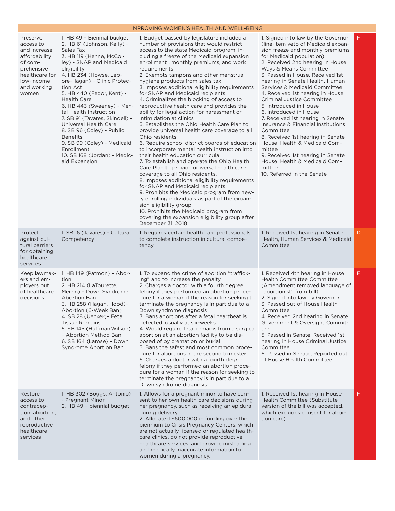#### IMPROVING WOMEN'S HEALTH AND WELL-BEING

| Preserve<br>access to<br>and increase<br>affordability<br>of com-<br>prehensive<br>healthcare for<br>low-income<br>and working<br>women | 1. HB 49 - Biennial budget<br>2. HB 61 (Johnson, Kelly) -<br>Sales Tax<br>3. HB 119 (Henne, McCol-<br>ley) - SNAP and Medicaid<br>eligibility<br>4. HB 234 (Howse, Lep-<br>ore-Hagan) - Clinic Protec-<br>tion Act<br>5. HB 440 (Fedor, Kent) -<br><b>Health Care</b><br>6. HB 443 (Sweeney) - Men-<br>tal Health Instruction<br>7. SB 91 (Tavares, Skindell) -<br>Universal Health Care<br>8. SB 96 (Coley) - Public<br><b>Benefits</b><br>9. SB 99 (Coley) - Medicaid<br>Enrollment<br>10. SB 168 (Jordan) - Medic-<br>aid Expansion | 1. Budget passed by legislature included a<br>number of provisions that would restrict<br>access to the state Medicaid program, in-<br>cluding a freeze of the Medicaid expansion<br>enrollment, monthly premiums, and work<br>requirements<br>2. Exempts tampons and other menstrual<br>hygiene products from sales tax<br>3. Imposes additional eligibility requirements<br>for SNAP and Medicaid recipients<br>4. Criminalizes the blocking of access to<br>reproductive health care and provides the<br>ability for legal action for harassment or<br>intimidation at clinics<br>5. Establishes the Ohio Health Care Plan to<br>provide universal health care coverage to all<br>Ohio residents<br>6. Require school district boards of education<br>to incorporate mental health instruction into<br>their health education curricula<br>7. To establish and operate the Ohio Health<br>Care Plan to provide universal health care<br>coverage to all Ohio residents.<br>8. Imposes additional eligibility requirements<br>for SNAP and Medicaid recipients<br>9. Prohibits the Medicaid program from new-<br>ly enrolling individuals as part of the expan-<br>sion eligibility group.<br>10. Prohibits the Medicaid program from<br>covering the expansion eligibility group after<br>December 31, 2018 | 1. Signed into law by the Governor<br>(line-item veto of Medicaid expan-<br>sion freeze and monthly premiums<br>for Medicaid population)<br>2. Received 2nd hearing in House<br>Ways & Means Committee<br>3. Passed in House, Received 1st<br>hearing in Senate Health, Human<br>Services & Medicaid Committee<br>4. Received 1st hearing in House<br><b>Criminal Justice Committee</b><br>5. Introduced in House<br>6. Introduced in House<br>7. Received 1st hearing in Senate<br>Insurance & Financial Institutions<br>Committee<br>8. Received 1st hearing in Senate<br>House, Health & Medicaid Com-<br>mittee<br>9. Received 1st hearing in Senate<br>House, Health & Medicaid Com-<br>mittee<br>10. Referred in the Senate | F  |
|-----------------------------------------------------------------------------------------------------------------------------------------|----------------------------------------------------------------------------------------------------------------------------------------------------------------------------------------------------------------------------------------------------------------------------------------------------------------------------------------------------------------------------------------------------------------------------------------------------------------------------------------------------------------------------------------|----------------------------------------------------------------------------------------------------------------------------------------------------------------------------------------------------------------------------------------------------------------------------------------------------------------------------------------------------------------------------------------------------------------------------------------------------------------------------------------------------------------------------------------------------------------------------------------------------------------------------------------------------------------------------------------------------------------------------------------------------------------------------------------------------------------------------------------------------------------------------------------------------------------------------------------------------------------------------------------------------------------------------------------------------------------------------------------------------------------------------------------------------------------------------------------------------------------------------------------------------------------------------------------------------------------|-----------------------------------------------------------------------------------------------------------------------------------------------------------------------------------------------------------------------------------------------------------------------------------------------------------------------------------------------------------------------------------------------------------------------------------------------------------------------------------------------------------------------------------------------------------------------------------------------------------------------------------------------------------------------------------------------------------------------------------|----|
| Protect<br>against cul-<br>tural barriers<br>for obtaining<br>healthcare<br>services                                                    | 1. SB 16 (Tavares) - Cultural<br>Competency                                                                                                                                                                                                                                                                                                                                                                                                                                                                                            | 1. Requires certain health care professionals<br>to complete instruction in cultural compe-<br>tency                                                                                                                                                                                                                                                                                                                                                                                                                                                                                                                                                                                                                                                                                                                                                                                                                                                                                                                                                                                                                                                                                                                                                                                                           | 1. Received 1st hearing in Senate<br>Health, Human Services & Medicaid<br>Committee                                                                                                                                                                                                                                                                                                                                                                                                                                                                                                                                                                                                                                               | D. |
| ers and em-<br>ployers out<br>of healthcare<br>decisions                                                                                | Keep lawmak- 1. HB 149 (Patmon) - Abor-<br>tion<br>2. HB 214 (LaTourette,<br>Merrin) - Down Syndrome<br><b>Abortion Ban</b><br>3. HB 258 (Hagan, Hood)-<br>Abortion (6-Week Ban)<br>4. SB 28 (Uecker) - Fetal<br>Tissue Remains<br>5. SB 145 (Huffman, Wilson)<br>- Abortion Method Ban<br>6. SB 164 (Larose) - Down<br>Syndrome Abortion Ban                                                                                                                                                                                          | 1. To expand the crime of abortion "traffick-<br>ing" and to increase the penalty<br>2. Charges a doctor with a fourth degree<br>felony if they performed an abortion proce-<br>dure for a woman if the reason for seeking to<br>terminate the pregnancy is in part due to a<br>Down syndrome diagnosis<br>3. Bans abortions after a fetal heartbeat is<br>detected, usually at six-weeks<br>4. Would require fetal remains from a surgical<br>abortion at an abortion facility to be dis-<br>posed of by cremation or burial<br>5. Bans the safest and most common proce-<br>dure for abortions in the second trimester<br>6. Charges a doctor with a fourth degree<br>felony if they performed an abortion proce-<br>dure for a woman if the reason for seeking to<br>terminate the pregnancy is in part due to a<br>Down syndrome diagnosis                                                                                                                                                                                                                                                                                                                                                                                                                                                                 | 1. Received 4th hearing in House<br><b>Health Committee Committee</b><br>(Amendment removed language of<br>"abortionist" from bill)<br>2. Signed into law by Governor<br>3. Passed out of House Health<br>Committee<br>4. Received 2nd hearing in Senate<br>Government & Oversight Commit-<br>tee<br>5. Passed in Senate, Received 1st<br>hearing in House Criminal Justice<br>Committee<br>6. Passed in Senate, Reported out<br>of House Health Committee                                                                                                                                                                                                                                                                        | F  |
| Restore<br>access to<br>contracep-<br>tion, abortion,<br>and other<br>reproductive<br>healthcare<br>services                            | 1. HB 302 (Boggs, Antonio)<br>- Pregnant Minor<br>2. HB 49 - biennial budget                                                                                                                                                                                                                                                                                                                                                                                                                                                           | 1. Allows for a pregnant minor to have con-<br>sent to her own health care decisions during<br>her pregnancy, such as receiving an epidural<br>during delivery<br>2. Allocated \$600,000 in funding over the<br>biennium to Crisis Pregnancy Centers, which<br>are not actually licensed or regulated health-<br>care clinics, do not provide reproductive<br>healthcare services, and provide misleading<br>and medically inaccurate information to<br>women during a pregnancy.                                                                                                                                                                                                                                                                                                                                                                                                                                                                                                                                                                                                                                                                                                                                                                                                                              | 1. Received 1st hearing in House<br><b>Health Committee (Substitute)</b><br>version of the bill was accepted.<br>which excludes consent for abor-<br>tion care)                                                                                                                                                                                                                                                                                                                                                                                                                                                                                                                                                                   | F. |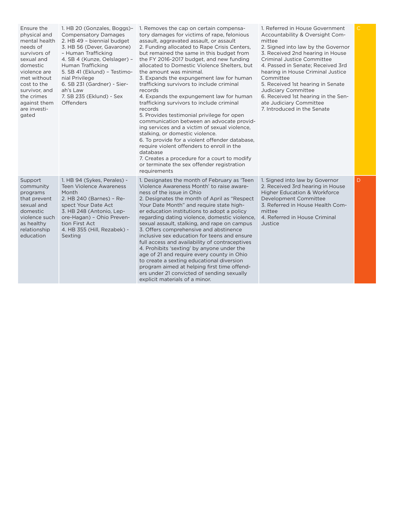| Ensure the<br>physical and<br>mental health<br>needs of<br>survivors of<br>sexual and<br>domestic<br>violence are<br>met without<br>cost to the<br>survivor, and<br>the crimes<br>against them<br>are investi-<br>gated | 1. HB 20 (Gonzales, Boggs)-<br><b>Compensatory Damages</b><br>2. HB 49 - biennial budget<br>3. HB 56 (Dever, Gavarone)<br>- Human Trafficking<br>4. SB 4 (Kunze, Oelslager) -<br>Human Trafficking<br>5. SB 41 (Eklund) - Testimo-<br>nial Privilege<br>6. SB 231 (Gardner) - Sier-<br>ah's Law<br>7. SB 235 (Eklund) - Sex<br><b>Offenders</b> | 1. Removes the cap on certain compensa-<br>tory damages for victims of rape, felonious<br>assault, aggravated assault, or assault<br>2. Funding allocated to Rape Crisis Centers,<br>but remained the same in this budget from<br>the FY 2016-2017 budget, and new funding<br>allocated to Domestic Violence Shelters, but<br>the amount was minimal.<br>3. Expands the expungement law for human<br>trafficking survivors to include criminal<br>records<br>4. Expands the expungement law for human<br>trafficking survivors to include criminal<br>records<br>5. Provides testimonial privilege for open<br>communication between an advocate provid-<br>ing services and a victim of sexual violence,<br>stalking, or domestic violence.<br>6. To provide for a violent offender database,<br>require violent offenders to enroll in the<br>database<br>7. Creates a procedure for a court to modify<br>or terminate the sex offender registration<br>requirements | 1. Referred in House Government<br>Accountability & Oversight Com-<br>mittee<br>2. Signed into law by the Governor<br>3. Received 2nd hearing in House<br><b>Criminal Justice Committee</b><br>4. Passed in Senate; Received 3rd<br>hearing in House Criminal Justice<br>Committee<br>5. Received 1st hearing in Senate<br>Judiciary Committee<br>6. Received 1st hearing in the Sen-<br>ate Judiciary Committee<br>7. Introduced in the Senate |   |
|-------------------------------------------------------------------------------------------------------------------------------------------------------------------------------------------------------------------------|-------------------------------------------------------------------------------------------------------------------------------------------------------------------------------------------------------------------------------------------------------------------------------------------------------------------------------------------------|------------------------------------------------------------------------------------------------------------------------------------------------------------------------------------------------------------------------------------------------------------------------------------------------------------------------------------------------------------------------------------------------------------------------------------------------------------------------------------------------------------------------------------------------------------------------------------------------------------------------------------------------------------------------------------------------------------------------------------------------------------------------------------------------------------------------------------------------------------------------------------------------------------------------------------------------------------------------|-------------------------------------------------------------------------------------------------------------------------------------------------------------------------------------------------------------------------------------------------------------------------------------------------------------------------------------------------------------------------------------------------------------------------------------------------|---|
| Support<br>community<br>programs<br>that prevent<br>sexual and<br>domestic<br>violence such<br>as healthy<br>relationship<br>education                                                                                  | 1. HB 94 (Sykes, Perales) -<br><b>Teen Violence Awareness</b><br>Month<br>2. HB 240 (Barnes) - Re-<br>spect Your Date Act<br>3. HB 248 (Antonio, Lep-<br>ore-Hagan) - Ohio Preven-<br>tion First Act<br>4. HB 355 (Hill, Rezabek) -<br>Sexting                                                                                                  | 1. Designates the month of February as 'Teen<br>Violence Awareness Month' to raise aware-<br>ness of the issue in Ohio<br>2. Designates the month of April as "Respect"<br>Your Date Month" and require state high-<br>er education institutions to adopt a policy<br>regarding dating violence, domestic violence,<br>sexual assault, stalking, and rape on campus<br>3. Offers comprehensive and abstinence<br>inclusive sex education for teens and ensure<br>full access and availability of contraceptives<br>4. Prohibits 'sexting' by anyone under the<br>age of 21 and require every county in Ohio<br>to create a sexting educational diversion<br>program aimed at helping first time offend-<br>ers under 21 convicted of sending sexually<br>explicit materials of a minor.                                                                                                                                                                                | 1. Signed into law by Governor<br>2. Received 3rd hearing in House<br><b>Higher Education &amp; Workforce</b><br>Development Committee<br>3. Referred in House Health Com-<br>mittee<br>4. Referred in House Criminal<br>Justice                                                                                                                                                                                                                | D |